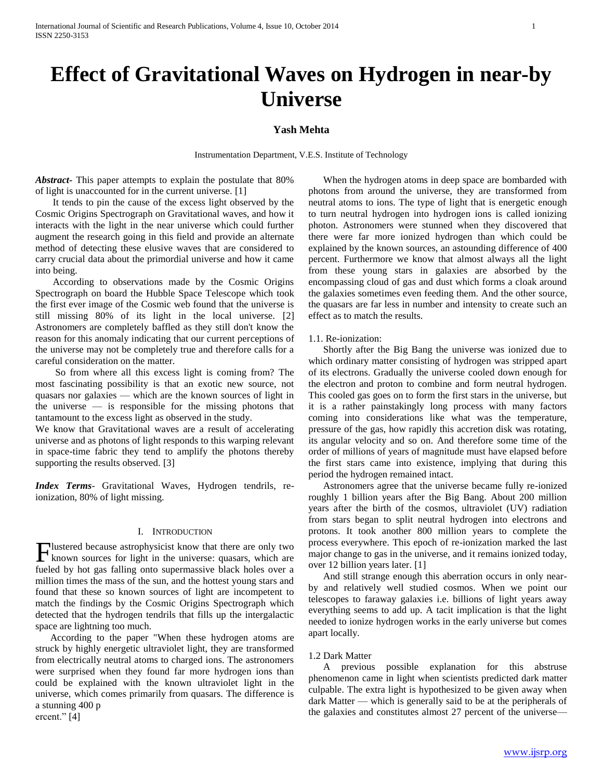# **Effect of Gravitational Waves on Hydrogen in near-by Universe**

## **Yash Mehta**

Instrumentation Department, V.E.S. Institute of Technology

*Abstract***-** This paper attempts to explain the postulate that 80% of light is unaccounted for in the current universe. [1]

 It tends to pin the cause of the excess light observed by the Cosmic Origins Spectrograph on Gravitational waves, and how it interacts with the light in the near universe which could further augment the research going in this field and provide an alternate method of detecting these elusive waves that are considered to carry crucial data about the primordial universe and how it came into being.

 According to observations made by the Cosmic Origins Spectrograph on board the Hubble Space Telescope which took the first ever image of the Cosmic web found that the universe is still missing 80% of its light in the local universe. [2] Astronomers are completely baffled as they still don't know the reason for this anomaly indicating that our current perceptions of the universe may not be completely true and therefore calls for a careful consideration on the matter.

 So from where all this excess light is coming from? The most fascinating possibility is that an exotic new source, not quasars nor galaxies — which are the known sources of light in the universe — is responsible for the missing photons that tantamount to the excess light as observed in the study.

We know that Gravitational waves are a result of accelerating universe and as photons of light responds to this warping relevant in space-time fabric they tend to amplify the photons thereby supporting the results observed. [3]

*Index Terms*- Gravitational Waves, Hydrogen tendrils, reionization, 80% of light missing.

## I. INTRODUCTION

lustered because astrophysicist know that there are only two **F** lustered because astrophysicist know that there are only two known sources for light in the universe: quasars, which are fueled by hot gas falling onto supermassive black holes over a million times the mass of the sun, and the hottest young stars and found that these so known sources of light are incompetent to match the findings by the Cosmic Origins Spectrograph which detected that the hydrogen tendrils that fills up the intergalactic space are lightning too much.

 According to the paper "When these hydrogen atoms are struck by highly energetic ultraviolet light, they are transformed from electrically neutral atoms to charged ions. The astronomers were surprised when they found far more hydrogen ions than could be explained with the known ultraviolet light in the universe, which comes primarily from quasars. The difference is a stunning 400 p ercent." [4]

 When the hydrogen atoms in deep space are bombarded with photons from around the universe, they are transformed from neutral atoms to ions. The type of light that is energetic enough to turn neutral hydrogen into hydrogen ions is called ionizing photon. Astronomers were stunned when they discovered that there were far more ionized hydrogen than which could be explained by the known sources, an astounding difference of 400 percent. Furthermore we know that almost always all the light from these young stars in galaxies are absorbed by the encompassing cloud of gas and dust which forms a cloak around the galaxies sometimes even feeding them. And the other source, the quasars are far less in number and intensity to create such an effect as to match the results.

1.1. Re-ionization:

 Shortly after the Big Bang the universe was ionized due to which ordinary matter consisting of hydrogen was stripped apart of its electrons. Gradually the universe cooled down enough for the electron and proton to combine and form neutral hydrogen. This cooled gas goes on to form the first stars in the universe, but it is a rather painstakingly long process with many factors coming into considerations like what was the temperature, pressure of the gas, how rapidly this accretion disk was rotating, its angular velocity and so on. And therefore some time of the order of millions of years of magnitude must have elapsed before the first stars came into existence, implying that during this period the hydrogen remained intact.

 Astronomers agree that the universe became fully re-ionized roughly 1 billion years after the Big Bang. About 200 million years after the birth of the cosmos, ultraviolet (UV) radiation from stars began to split neutral hydrogen into electrons and protons. It took another 800 million years to complete the process everywhere. This epoch of re-ionization marked the last major change to gas in the universe, and it remains ionized today, over 12 billion years later. [1]

 And still strange enough this aberration occurs in only nearby and relatively well studied cosmos. When we point our telescopes to faraway galaxies i.e. billions of light years away everything seems to add up. A tacit implication is that the light needed to ionize hydrogen works in the early universe but comes apart locally.

#### 1.2 Dark Matter

 A previous possible explanation for this abstruse phenomenon came in light when scientists predicted dark matter culpable. The extra light is hypothesized to be given away when dark Matter — which is generally said to be at the peripherals of the galaxies and constitutes almost 27 percent of the universe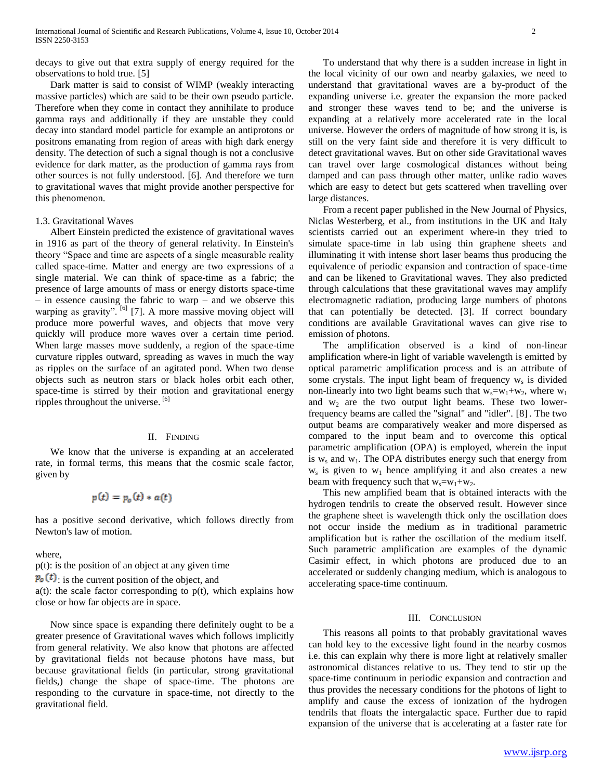decays to give out that extra supply of energy required for the observations to hold true. [5]

 Dark matter is said to consist of WIMP (weakly interacting massive particles) which are said to be their own pseudo particle. Therefore when they come in contact they annihilate to produce gamma rays and additionally if they are unstable they could decay into standard model particle for example an antiprotons or positrons emanating from region of areas with high dark energy density. The detection of such a signal though is not a conclusive evidence for dark matter, as the production of gamma rays from other sources is not fully understood. [6]. And therefore we turn to gravitational waves that might provide another perspective for this phenomenon.

#### 1.3. Gravitational Waves

 Albert Einstein predicted the existence of gravitational waves in 1916 as part of the theory of general relativity. In Einstein's theory "Space and time are aspects of a single measurable reality called space-time. Matter and energy are two expressions of a single material. We can think of space-time as a fabric; the presence of large amounts of mass or energy distorts space-time – in essence causing the fabric to warp – and we observe this warping as gravity".<sup>[6]</sup> [7]. A more massive moving object will produce more powerful waves, and objects that move very quickly will produce more waves over a certain time period. When large masses move suddenly, a region of the space-time curvature ripples outward, spreading as waves in much the way as ripples on the surface of an agitated pond. When two dense objects such as neutron stars or black holes orbit each other, space-time is stirred by their motion and gravitational energy ripples throughout the universe. [6]

#### II. FINDING

 We know that the universe is expanding at an accelerated rate, in formal terms, this means that the cosmic scale factor, given by

# $p(t) = p_{0}(t) * a(t)$

has a positive second derivative, which follows directly from Newton's law of motion.

where,

p(t): is the position of an object at any given time

 $\mathbf{p}_{\mathbf{o}}(t)$  is the current position of the object, and

 $a(t)$ : the scale factor corresponding to  $p(t)$ , which explains how close or how far objects are in space.

 Now since space is expanding there definitely ought to be a greater presence of Gravitational waves which follows implicitly from general relativity. We also know that photons are affected by gravitational fields not because photons have mass, but because gravitational fields (in particular, strong gravitational fields,) change the shape of space-time. The photons are responding to the curvature in space-time, not directly to the gravitational field.

 To understand that why there is a sudden increase in light in the local vicinity of our own and nearby galaxies, we need to understand that gravitational waves are a by-product of the expanding universe i.e. greater the expansion the more packed and stronger these waves tend to be; and the universe is expanding at a relatively more accelerated rate in the local universe. However the orders of magnitude of how strong it is, is still on the very faint side and therefore it is very difficult to detect gravitational waves. But on other side Gravitational waves can travel over large cosmological distances without being damped and can pass through other matter, unlike radio waves which are easy to detect but gets scattered when travelling over large distances.

 From a recent paper published in the New Journal of Physics, Niclas Westerberg, et al., from institutions in the UK and Italy scientists carried out an experiment where-in they tried to simulate space-time in lab using thin graphene sheets and illuminating it with intense short laser beams thus producing the equivalence of periodic expansion and contraction of space-time and can be likened to Gravitational waves. They also predicted through calculations that these gravitational waves may amplify electromagnetic radiation, producing large numbers of photons that can potentially be detected. [3]. If correct boundary conditions are available Gravitational waves can give rise to emission of photons.

 The amplification observed is a kind of non-linear amplification where-in light of variable wavelength is emitted by optical parametric amplification process and is an attribute of some crystals. The input light beam of frequency  $w_s$  is divided non-linearly into two light beams such that  $w_s = w_1 + w_2$ , where  $w_1$ and  $w_2$  are the two output light beams. These two lowerfrequency beams are called the "signal" and "idler". [8] . The two output beams are comparatively weaker and more dispersed as compared to the input beam and to overcome this optical parametric amplification (OPA) is employed, wherein the input is  $w_s$  and  $w_1$ . The OPA distributes energy such that energy from  $w_s$  is given to  $w_1$  hence amplifying it and also creates a new beam with frequency such that  $w_s = w_1 + w_2$ .

 This new amplified beam that is obtained interacts with the hydrogen tendrils to create the observed result. However since the graphene sheet is wavelength thick only the oscillation does not occur inside the medium as in traditional parametric amplification but is rather the oscillation of the medium itself. Such parametric amplification are examples of the dynamic Casimir effect, in which photons are produced due to an accelerated or suddenly changing medium, which is analogous to accelerating space-time continuum.

#### III. CONCLUSION

 This reasons all points to that probably gravitational waves can hold key to the excessive light found in the nearby cosmos i.e. this can explain why there is more light at relatively smaller astronomical distances relative to us. They tend to stir up the space-time continuum in periodic expansion and contraction and thus provides the necessary conditions for the photons of light to amplify and cause the excess of ionization of the hydrogen tendrils that floats the intergalactic space. Further due to rapid expansion of the universe that is accelerating at a faster rate for